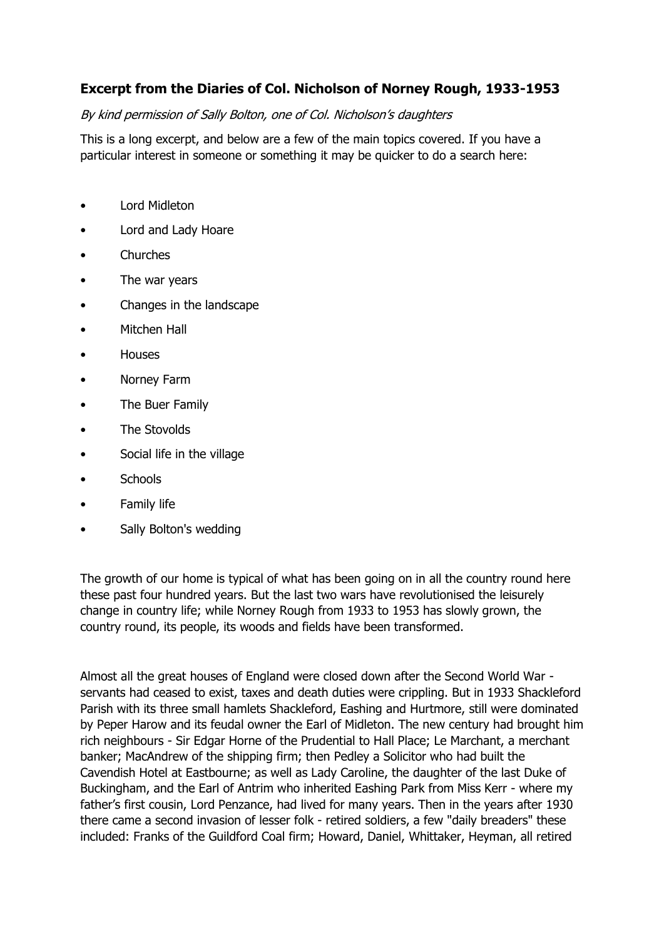## **Excerpt from the Diaries of Col. Nicholson of Norney Rough, 1933-1953**

By kind permission of Sally Bolton, one of Col. Nicholson's daughters

This is a long excerpt, and below are a few of the main topics covered. If you have a particular interest in someone or something it may be quicker to do a search here:

- Lord Midleton
- Lord and Lady Hoare
- Churches
- The war years
- Changes in the landscape
- Mitchen Hall
- Houses
- Norney Farm
- The Buer Family
- The Stovolds
- Social life in the village
- **Schools**
- Family life
- Sally Bolton's wedding

The growth of our home is typical of what has been going on in all the country round here these past four hundred years. But the last two wars have revolutionised the leisurely change in country life; while Norney Rough from 1933 to 1953 has slowly grown, the country round, its people, its woods and fields have been transformed.

Almost all the great houses of England were closed down after the Second World War servants had ceased to exist, taxes and death duties were crippling. But in 1933 Shackleford Parish with its three small hamlets Shackleford, Eashing and Hurtmore, still were dominated by Peper Harow and its feudal owner the Earl of Midleton. The new century had brought him rich neighbours - Sir Edgar Horne of the Prudential to Hall Place; Le Marchant, a merchant banker; MacAndrew of the shipping firm; then Pedley a Solicitor who had built the Cavendish Hotel at Eastbourne; as well as Lady Caroline, the daughter of the last Duke of Buckingham, and the Earl of Antrim who inherited Eashing Park from Miss Kerr - where my father's first cousin, Lord Penzance, had lived for many years. Then in the years after 1930 there came a second invasion of lesser folk - retired soldiers, a few "daily breaders" these included: Franks of the Guildford Coal firm; Howard, Daniel, Whittaker, Heyman, all retired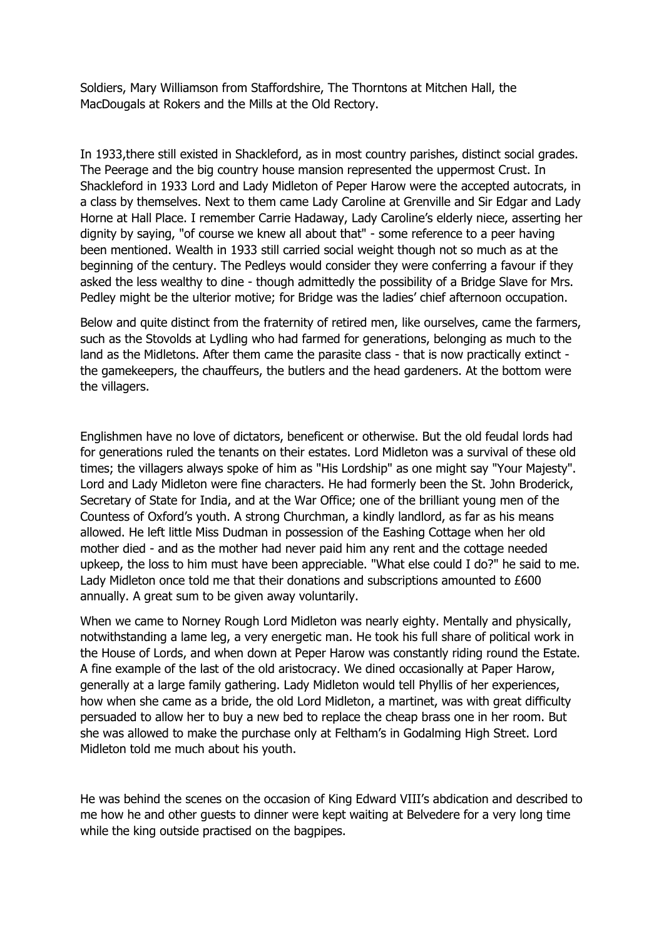Soldiers, Mary Williamson from Staffordshire, The Thorntons at Mitchen Hall, the MacDougals at Rokers and the Mills at the Old Rectory.

In 1933,there still existed in Shackleford, as in most country parishes, distinct social grades. The Peerage and the big country house mansion represented the uppermost Crust. In Shackleford in 1933 Lord and Lady Midleton of Peper Harow were the accepted autocrats, in a class by themselves. Next to them came Lady Caroline at Grenville and Sir Edgar and Lady Horne at Hall Place. I remember Carrie Hadaway, Lady Caroline's elderly niece, asserting her dignity by saying, "of course we knew all about that" - some reference to a peer having been mentioned. Wealth in 1933 still carried social weight though not so much as at the beginning of the century. The Pedleys would consider they were conferring a favour if they asked the less wealthy to dine - though admittedly the possibility of a Bridge Slave for Mrs. Pedley might be the ulterior motive; for Bridge was the ladies' chief afternoon occupation.

Below and quite distinct from the fraternity of retired men, like ourselves, came the farmers, such as the Stovolds at Lydling who had farmed for generations, belonging as much to the land as the Midletons. After them came the parasite class - that is now practically extinct the gamekeepers, the chauffeurs, the butlers and the head gardeners. At the bottom were the villagers.

Englishmen have no love of dictators, beneficent or otherwise. But the old feudal lords had for generations ruled the tenants on their estates. Lord Midleton was a survival of these old times; the villagers always spoke of him as "His Lordship" as one might say "Your Majesty". Lord and Lady Midleton were fine characters. He had formerly been the St. John Broderick, Secretary of State for India, and at the War Office; one of the brilliant young men of the Countess of Oxford's youth. A strong Churchman, a kindly landlord, as far as his means allowed. He left little Miss Dudman in possession of the Eashing Cottage when her old mother died - and as the mother had never paid him any rent and the cottage needed upkeep, the loss to him must have been appreciable. "What else could I do?" he said to me. Lady Midleton once told me that their donations and subscriptions amounted to £600 annually. A great sum to be given away voluntarily.

When we came to Norney Rough Lord Midleton was nearly eighty. Mentally and physically, notwithstanding a lame leg, a very energetic man. He took his full share of political work in the House of Lords, and when down at Peper Harow was constantly riding round the Estate. A fine example of the last of the old aristocracy. We dined occasionally at Paper Harow, generally at a large family gathering. Lady Midleton would tell Phyllis of her experiences, how when she came as a bride, the old Lord Midleton, a martinet, was with great difficulty persuaded to allow her to buy a new bed to replace the cheap brass one in her room. But she was allowed to make the purchase only at Feltham's in Godalming High Street. Lord Midleton told me much about his youth.

He was behind the scenes on the occasion of King Edward VIII's abdication and described to me how he and other guests to dinner were kept waiting at Belvedere for a very long time while the king outside practised on the bagpipes.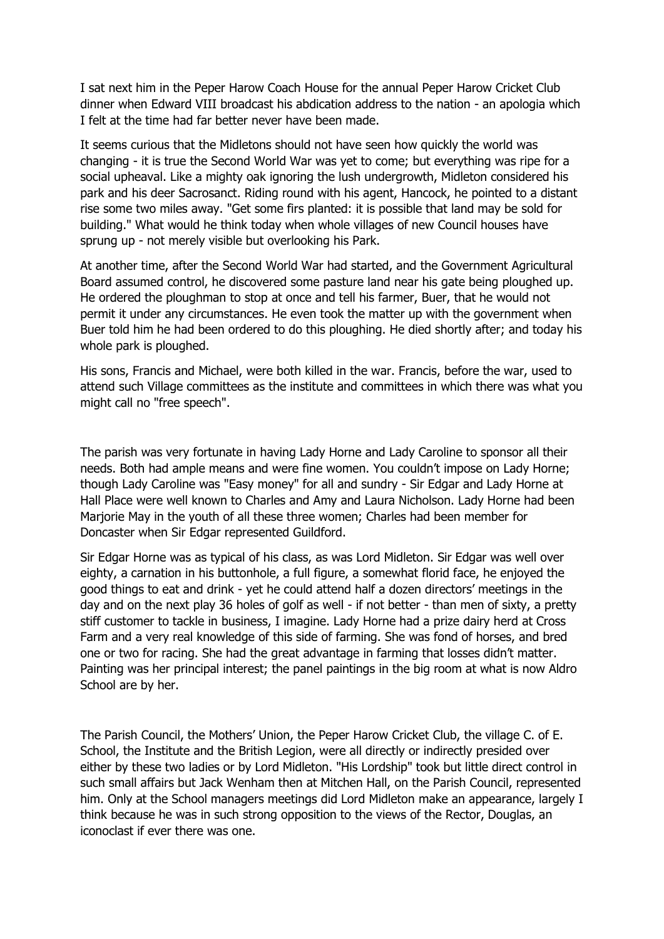I sat next him in the Peper Harow Coach House for the annual Peper Harow Cricket Club dinner when Edward VIII broadcast his abdication address to the nation - an apologia which I felt at the time had far better never have been made.

It seems curious that the Midletons should not have seen how quickly the world was changing - it is true the Second World War was yet to come; but everything was ripe for a social upheaval. Like a mighty oak ignoring the lush undergrowth, Midleton considered his park and his deer Sacrosanct. Riding round with his agent, Hancock, he pointed to a distant rise some two miles away. "Get some firs planted: it is possible that land may be sold for building." What would he think today when whole villages of new Council houses have sprung up - not merely visible but overlooking his Park.

At another time, after the Second World War had started, and the Government Agricultural Board assumed control, he discovered some pasture land near his gate being ploughed up. He ordered the ploughman to stop at once and tell his farmer, Buer, that he would not permit it under any circumstances. He even took the matter up with the government when Buer told him he had been ordered to do this ploughing. He died shortly after; and today his whole park is ploughed.

His sons, Francis and Michael, were both killed in the war. Francis, before the war, used to attend such Village committees as the institute and committees in which there was what you might call no "free speech".

The parish was very fortunate in having Lady Horne and Lady Caroline to sponsor all their needs. Both had ample means and were fine women. You couldn't impose on Lady Horne; though Lady Caroline was "Easy money" for all and sundry - Sir Edgar and Lady Horne at Hall Place were well known to Charles and Amy and Laura Nicholson. Lady Horne had been Marjorie May in the youth of all these three women; Charles had been member for Doncaster when Sir Edgar represented Guildford.

Sir Edgar Horne was as typical of his class, as was Lord Midleton. Sir Edgar was well over eighty, a carnation in his buttonhole, a full figure, a somewhat florid face, he enjoyed the good things to eat and drink - yet he could attend half a dozen directors' meetings in the day and on the next play 36 holes of golf as well - if not better - than men of sixty, a pretty stiff customer to tackle in business, I imagine. Lady Horne had a prize dairy herd at Cross Farm and a very real knowledge of this side of farming. She was fond of horses, and bred one or two for racing. She had the great advantage in farming that losses didn't matter. Painting was her principal interest; the panel paintings in the big room at what is now Aldro School are by her.

The Parish Council, the Mothers' Union, the Peper Harow Cricket Club, the village C. of E. School, the Institute and the British Legion, were all directly or indirectly presided over either by these two ladies or by Lord Midleton. "His Lordship" took but little direct control in such small affairs but Jack Wenham then at Mitchen Hall, on the Parish Council, represented him. Only at the School managers meetings did Lord Midleton make an appearance, largely I think because he was in such strong opposition to the views of the Rector, Douglas, an iconoclast if ever there was one.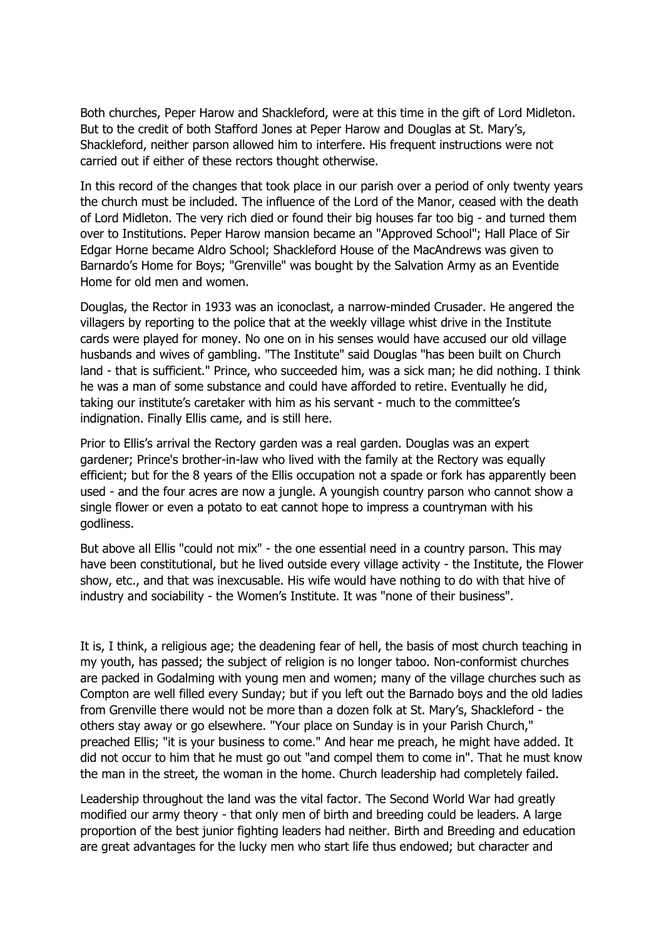Both churches, Peper Harow and Shackleford, were at this time in the gift of Lord Midleton. But to the credit of both Stafford Jones at Peper Harow and Douglas at St. Mary's, Shackleford, neither parson allowed him to interfere. His frequent instructions were not carried out if either of these rectors thought otherwise.

In this record of the changes that took place in our parish over a period of only twenty years the church must be included. The influence of the Lord of the Manor, ceased with the death of Lord Midleton. The very rich died or found their big houses far too big - and turned them over to Institutions. Peper Harow mansion became an "Approved School"; Hall Place of Sir Edgar Horne became Aldro School; Shackleford House of the MacAndrews was given to Barnardo's Home for Boys; "Grenville" was bought by the Salvation Army as an Eventide Home for old men and women.

Douglas, the Rector in 1933 was an iconoclast, a narrow-minded Crusader. He angered the villagers by reporting to the police that at the weekly village whist drive in the Institute cards were played for money. No one on in his senses would have accused our old village husbands and wives of gambling. "The Institute" said Douglas "has been built on Church land - that is sufficient." Prince, who succeeded him, was a sick man; he did nothing. I think he was a man of some substance and could have afforded to retire. Eventually he did, taking our institute's caretaker with him as his servant - much to the committee's indignation. Finally Ellis came, and is still here.

Prior to Ellis's arrival the Rectory garden was a real garden. Douglas was an expert gardener; Prince's brother-in-law who lived with the family at the Rectory was equally efficient; but for the 8 years of the Ellis occupation not a spade or fork has apparently been used - and the four acres are now a jungle. A youngish country parson who cannot show a single flower or even a potato to eat cannot hope to impress a countryman with his godliness.

But above all Ellis "could not mix" - the one essential need in a country parson. This may have been constitutional, but he lived outside every village activity - the Institute, the Flower show, etc., and that was inexcusable. His wife would have nothing to do with that hive of industry and sociability - the Women's Institute. It was "none of their business".

It is, I think, a religious age; the deadening fear of hell, the basis of most church teaching in my youth, has passed; the subject of religion is no longer taboo. Non-conformist churches are packed in Godalming with young men and women; many of the village churches such as Compton are well filled every Sunday; but if you left out the Barnado boys and the old ladies from Grenville there would not be more than a dozen folk at St. Mary's, Shackleford - the others stay away or go elsewhere. "Your place on Sunday is in your Parish Church," preached Ellis; "it is your business to come." And hear me preach, he might have added. It did not occur to him that he must go out "and compel them to come in". That he must know the man in the street, the woman in the home. Church leadership had completely failed.

Leadership throughout the land was the vital factor. The Second World War had greatly modified our army theory - that only men of birth and breeding could be leaders. A large proportion of the best junior fighting leaders had neither. Birth and Breeding and education are great advantages for the lucky men who start life thus endowed; but character and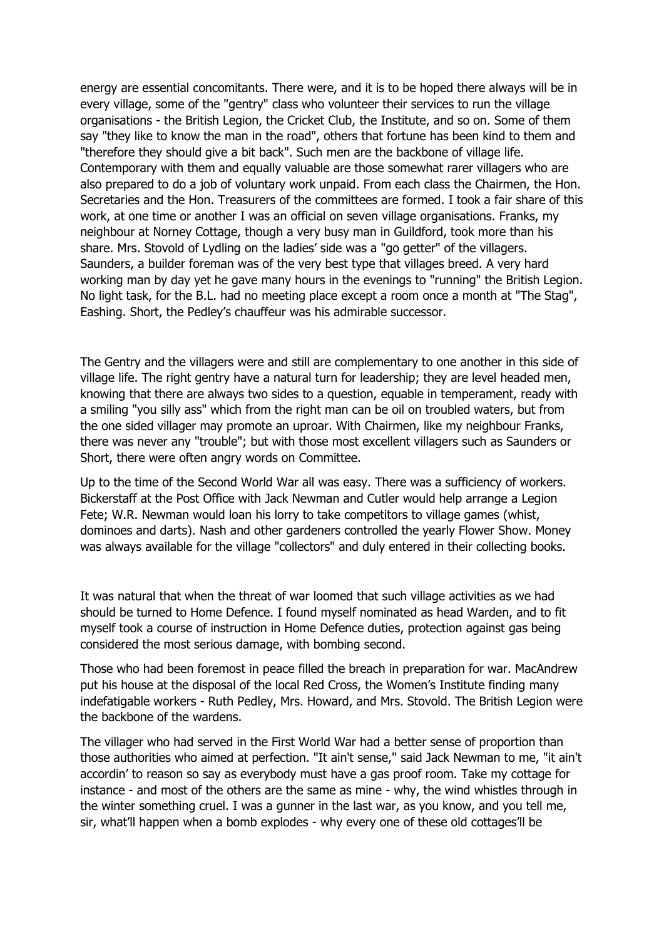energy are essential concomitants. There were, and it is to be hoped there always will be in every village, some of the "gentry" class who volunteer their services to run the village organisations - the British Legion, the Cricket Club, the Institute, and so on. Some of them say "they like to know the man in the road", others that fortune has been kind to them and "therefore they should give a bit back". Such men are the backbone of village life. Contemporary with them and equally valuable are those somewhat rarer villagers who are also prepared to do a job of voluntary work unpaid. From each class the Chairmen, the Hon. Secretaries and the Hon. Treasurers of the committees are formed. I took a fair share of this work, at one time or another I was an official on seven village organisations. Franks, my neighbour at Norney Cottage, though a very busy man in Guildford, took more than his share. Mrs. Stovold of Lydling on the ladies' side was a "go getter" of the villagers. Saunders, a builder foreman was of the very best type that villages breed. A very hard working man by day yet he gave many hours in the evenings to "running" the British Legion. No light task, for the B.L. had no meeting place except a room once a month at "The Stag", Eashing. Short, the Pedley's chauffeur was his admirable successor.

The Gentry and the villagers were and still are complementary to one another in this side of village life. The right gentry have a natural turn for leadership; they are level headed men, knowing that there are always two sides to a question, equable in temperament, ready with a smiling "you silly ass" which from the right man can be oil on troubled waters, but from the one sided villager may promote an uproar. With Chairmen, like my neighbour Franks, there was never any "trouble"; but with those most excellent villagers such as Saunders or Short, there were often angry words on Committee.

Up to the time of the Second World War all was easy. There was a sufficiency of workers. Bickerstaff at the Post Office with Jack Newman and Cutler would help arrange a Legion Fete; W.R. Newman would loan his lorry to take competitors to village games (whist, dominoes and darts). Nash and other gardeners controlled the yearly Flower Show. Money was always available for the village "collectors" and duly entered in their collecting books.

It was natural that when the threat of war loomed that such village activities as we had should be turned to Home Defence. I found myself nominated as head Warden, and to fit myself took a course of instruction in Home Defence duties, protection against gas being considered the most serious damage, with bombing second.

Those who had been foremost in peace filled the breach in preparation for war. MacAndrew put his house at the disposal of the local Red Cross, the Women's Institute finding many indefatigable workers - Ruth Pedley, Mrs. Howard, and Mrs. Stovold. The British Legion were the backbone of the wardens.

The villager who had served in the First World War had a better sense of proportion than those authorities who aimed at perfection. "It ain't sense," said Jack Newman to me, "it ain't accordin' to reason so say as everybody must have a gas proof room. Take my cottage for instance - and most of the others are the same as mine - why, the wind whistles through in the winter something cruel. I was a gunner in the last war, as you know, and you tell me, sir, what'll happen when a bomb explodes - why every one of these old cottages'll be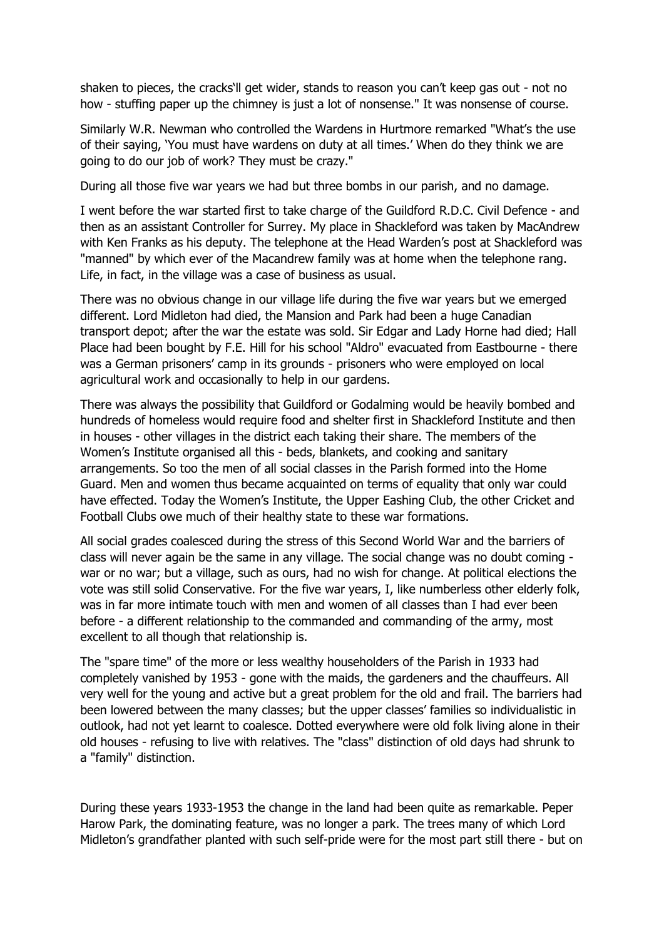shaken to pieces, the cracks'll get wider, stands to reason you can't keep gas out - not no how - stuffing paper up the chimney is just a lot of nonsense." It was nonsense of course.

Similarly W.R. Newman who controlled the Wardens in Hurtmore remarked "What's the use of their saying, 'You must have wardens on duty at all times.' When do they think we are going to do our job of work? They must be crazy."

During all those five war years we had but three bombs in our parish, and no damage.

I went before the war started first to take charge of the Guildford R.D.C. Civil Defence - and then as an assistant Controller for Surrey. My place in Shackleford was taken by MacAndrew with Ken Franks as his deputy. The telephone at the Head Warden's post at Shackleford was "manned" by which ever of the Macandrew family was at home when the telephone rang. Life, in fact, in the village was a case of business as usual.

There was no obvious change in our village life during the five war years but we emerged different. Lord Midleton had died, the Mansion and Park had been a huge Canadian transport depot; after the war the estate was sold. Sir Edgar and Lady Horne had died; Hall Place had been bought by F.E. Hill for his school "Aldro" evacuated from Eastbourne - there was a German prisoners' camp in its grounds - prisoners who were employed on local agricultural work and occasionally to help in our gardens.

There was always the possibility that Guildford or Godalming would be heavily bombed and hundreds of homeless would require food and shelter first in Shackleford Institute and then in houses - other villages in the district each taking their share. The members of the Women's Institute organised all this - beds, blankets, and cooking and sanitary arrangements. So too the men of all social classes in the Parish formed into the Home Guard. Men and women thus became acquainted on terms of equality that only war could have effected. Today the Women's Institute, the Upper Eashing Club, the other Cricket and Football Clubs owe much of their healthy state to these war formations.

All social grades coalesced during the stress of this Second World War and the barriers of class will never again be the same in any village. The social change was no doubt coming war or no war; but a village, such as ours, had no wish for change. At political elections the vote was still solid Conservative. For the five war years, I, like numberless other elderly folk, was in far more intimate touch with men and women of all classes than I had ever been before - a different relationship to the commanded and commanding of the army, most excellent to all though that relationship is.

The "spare time" of the more or less wealthy householders of the Parish in 1933 had completely vanished by 1953 - gone with the maids, the gardeners and the chauffeurs. All very well for the young and active but a great problem for the old and frail. The barriers had been lowered between the many classes; but the upper classes' families so individualistic in outlook, had not yet learnt to coalesce. Dotted everywhere were old folk living alone in their old houses - refusing to live with relatives. The "class" distinction of old days had shrunk to a "family" distinction.

During these years 1933-1953 the change in the land had been quite as remarkable. Peper Harow Park, the dominating feature, was no longer a park. The trees many of which Lord Midleton's grandfather planted with such self-pride were for the most part still there - but on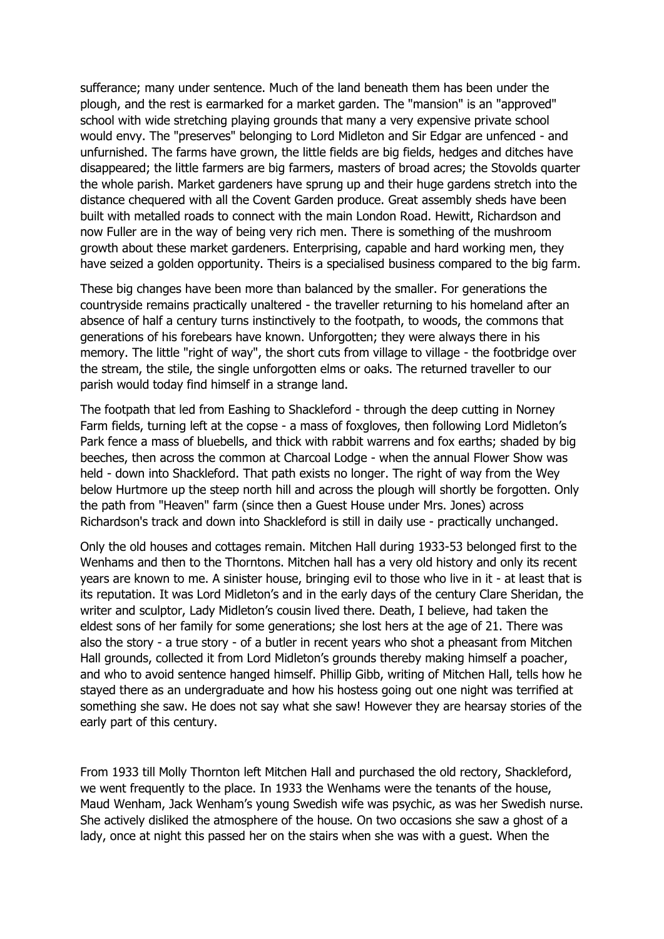sufferance; many under sentence. Much of the land beneath them has been under the plough, and the rest is earmarked for a market garden. The "mansion" is an "approved" school with wide stretching playing grounds that many a very expensive private school would envy. The "preserves" belonging to Lord Midleton and Sir Edgar are unfenced - and unfurnished. The farms have grown, the little fields are big fields, hedges and ditches have disappeared; the little farmers are big farmers, masters of broad acres; the Stovolds quarter the whole parish. Market gardeners have sprung up and their huge gardens stretch into the distance chequered with all the Covent Garden produce. Great assembly sheds have been built with metalled roads to connect with the main London Road. Hewitt, Richardson and now Fuller are in the way of being very rich men. There is something of the mushroom growth about these market gardeners. Enterprising, capable and hard working men, they have seized a golden opportunity. Theirs is a specialised business compared to the big farm.

These big changes have been more than balanced by the smaller. For generations the countryside remains practically unaltered - the traveller returning to his homeland after an absence of half a century turns instinctively to the footpath, to woods, the commons that generations of his forebears have known. Unforgotten; they were always there in his memory. The little "right of way", the short cuts from village to village - the footbridge over the stream, the stile, the single unforgotten elms or oaks. The returned traveller to our parish would today find himself in a strange land.

The footpath that led from Eashing to Shackleford - through the deep cutting in Norney Farm fields, turning left at the copse - a mass of foxgloves, then following Lord Midleton's Park fence a mass of bluebells, and thick with rabbit warrens and fox earths; shaded by big beeches, then across the common at Charcoal Lodge - when the annual Flower Show was held - down into Shackleford. That path exists no longer. The right of way from the Wey below Hurtmore up the steep north hill and across the plough will shortly be forgotten. Only the path from "Heaven" farm (since then a Guest House under Mrs. Jones) across Richardson's track and down into Shackleford is still in daily use - practically unchanged.

Only the old houses and cottages remain. Mitchen Hall during 1933-53 belonged first to the Wenhams and then to the Thorntons. Mitchen hall has a very old history and only its recent years are known to me. A sinister house, bringing evil to those who live in it - at least that is its reputation. It was Lord Midleton's and in the early days of the century Clare Sheridan, the writer and sculptor, Lady Midleton's cousin lived there. Death, I believe, had taken the eldest sons of her family for some generations; she lost hers at the age of 21. There was also the story - a true story - of a butler in recent years who shot a pheasant from Mitchen Hall grounds, collected it from Lord Midleton's grounds thereby making himself a poacher, and who to avoid sentence hanged himself. Phillip Gibb, writing of Mitchen Hall, tells how he stayed there as an undergraduate and how his hostess going out one night was terrified at something she saw. He does not say what she saw! However they are hearsay stories of the early part of this century.

From 1933 till Molly Thornton left Mitchen Hall and purchased the old rectory, Shackleford, we went frequently to the place. In 1933 the Wenhams were the tenants of the house, Maud Wenham, Jack Wenham's young Swedish wife was psychic, as was her Swedish nurse. She actively disliked the atmosphere of the house. On two occasions she saw a ghost of a lady, once at night this passed her on the stairs when she was with a guest. When the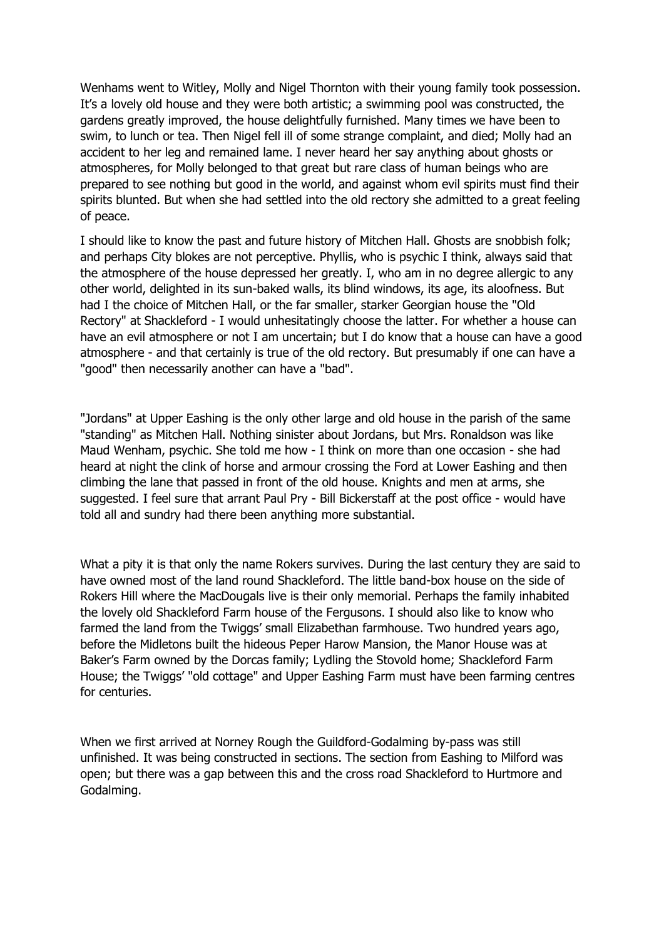Wenhams went to Witley, Molly and Nigel Thornton with their young family took possession. It's a lovely old house and they were both artistic; a swimming pool was constructed, the gardens greatly improved, the house delightfully furnished. Many times we have been to swim, to lunch or tea. Then Nigel fell ill of some strange complaint, and died; Molly had an accident to her leg and remained lame. I never heard her say anything about ghosts or atmospheres, for Molly belonged to that great but rare class of human beings who are prepared to see nothing but good in the world, and against whom evil spirits must find their spirits blunted. But when she had settled into the old rectory she admitted to a great feeling of peace.

I should like to know the past and future history of Mitchen Hall. Ghosts are snobbish folk; and perhaps City blokes are not perceptive. Phyllis, who is psychic I think, always said that the atmosphere of the house depressed her greatly. I, who am in no degree allergic to any other world, delighted in its sun-baked walls, its blind windows, its age, its aloofness. But had I the choice of Mitchen Hall, or the far smaller, starker Georgian house the "Old Rectory" at Shackleford - I would unhesitatingly choose the latter. For whether a house can have an evil atmosphere or not I am uncertain; but I do know that a house can have a good atmosphere - and that certainly is true of the old rectory. But presumably if one can have a "good" then necessarily another can have a "bad".

"Jordans" at Upper Eashing is the only other large and old house in the parish of the same "standing" as Mitchen Hall. Nothing sinister about Jordans, but Mrs. Ronaldson was like Maud Wenham, psychic. She told me how - I think on more than one occasion - she had heard at night the clink of horse and armour crossing the Ford at Lower Eashing and then climbing the lane that passed in front of the old house. Knights and men at arms, she suggested. I feel sure that arrant Paul Pry - Bill Bickerstaff at the post office - would have told all and sundry had there been anything more substantial.

What a pity it is that only the name Rokers survives. During the last century they are said to have owned most of the land round Shackleford. The little band-box house on the side of Rokers Hill where the MacDougals live is their only memorial. Perhaps the family inhabited the lovely old Shackleford Farm house of the Fergusons. I should also like to know who farmed the land from the Twiggs' small Elizabethan farmhouse. Two hundred years ago, before the Midletons built the hideous Peper Harow Mansion, the Manor House was at Baker's Farm owned by the Dorcas family; Lydling the Stovold home; Shackleford Farm House; the Twiggs' "old cottage" and Upper Eashing Farm must have been farming centres for centuries.

When we first arrived at Norney Rough the Guildford-Godalming by-pass was still unfinished. It was being constructed in sections. The section from Eashing to Milford was open; but there was a gap between this and the cross road Shackleford to Hurtmore and Godalming.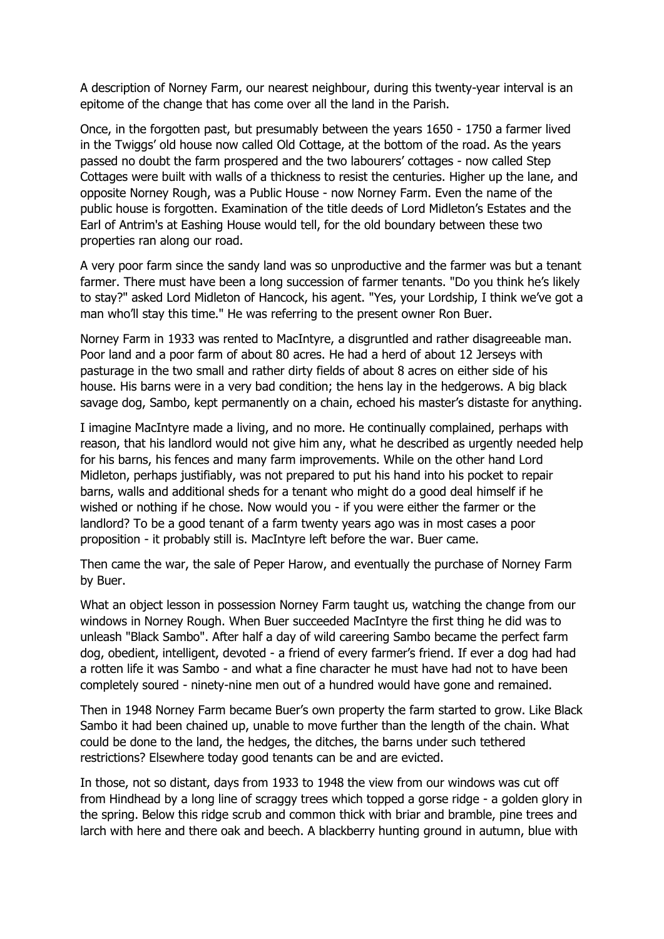A description of Norney Farm, our nearest neighbour, during this twenty-year interval is an epitome of the change that has come over all the land in the Parish.

Once, in the forgotten past, but presumably between the years 1650 - 1750 a farmer lived in the Twiggs' old house now called Old Cottage, at the bottom of the road. As the years passed no doubt the farm prospered and the two labourers' cottages - now called Step Cottages were built with walls of a thickness to resist the centuries. Higher up the lane, and opposite Norney Rough, was a Public House - now Norney Farm. Even the name of the public house is forgotten. Examination of the title deeds of Lord Midleton's Estates and the Earl of Antrim's at Eashing House would tell, for the old boundary between these two properties ran along our road.

A very poor farm since the sandy land was so unproductive and the farmer was but a tenant farmer. There must have been a long succession of farmer tenants. "Do you think he's likely to stay?" asked Lord Midleton of Hancock, his agent. "Yes, your Lordship, I think we've got a man who'll stay this time." He was referring to the present owner Ron Buer.

Norney Farm in 1933 was rented to MacIntyre, a disgruntled and rather disagreeable man. Poor land and a poor farm of about 80 acres. He had a herd of about 12 Jerseys with pasturage in the two small and rather dirty fields of about 8 acres on either side of his house. His barns were in a very bad condition; the hens lay in the hedgerows. A big black savage dog, Sambo, kept permanently on a chain, echoed his master's distaste for anything.

I imagine MacIntyre made a living, and no more. He continually complained, perhaps with reason, that his landlord would not give him any, what he described as urgently needed help for his barns, his fences and many farm improvements. While on the other hand Lord Midleton, perhaps justifiably, was not prepared to put his hand into his pocket to repair barns, walls and additional sheds for a tenant who might do a good deal himself if he wished or nothing if he chose. Now would you - if you were either the farmer or the landlord? To be a good tenant of a farm twenty years ago was in most cases a poor proposition - it probably still is. MacIntyre left before the war. Buer came.

Then came the war, the sale of Peper Harow, and eventually the purchase of Norney Farm by Buer.

What an object lesson in possession Norney Farm taught us, watching the change from our windows in Norney Rough. When Buer succeeded MacIntyre the first thing he did was to unleash "Black Sambo". After half a day of wild careering Sambo became the perfect farm dog, obedient, intelligent, devoted - a friend of every farmer's friend. If ever a dog had had a rotten life it was Sambo - and what a fine character he must have had not to have been completely soured - ninety-nine men out of a hundred would have gone and remained.

Then in 1948 Norney Farm became Buer's own property the farm started to grow. Like Black Sambo it had been chained up, unable to move further than the length of the chain. What could be done to the land, the hedges, the ditches, the barns under such tethered restrictions? Elsewhere today good tenants can be and are evicted.

In those, not so distant, days from 1933 to 1948 the view from our windows was cut off from Hindhead by a long line of scraggy trees which topped a gorse ridge - a golden glory in the spring. Below this ridge scrub and common thick with briar and bramble, pine trees and larch with here and there oak and beech. A blackberry hunting ground in autumn, blue with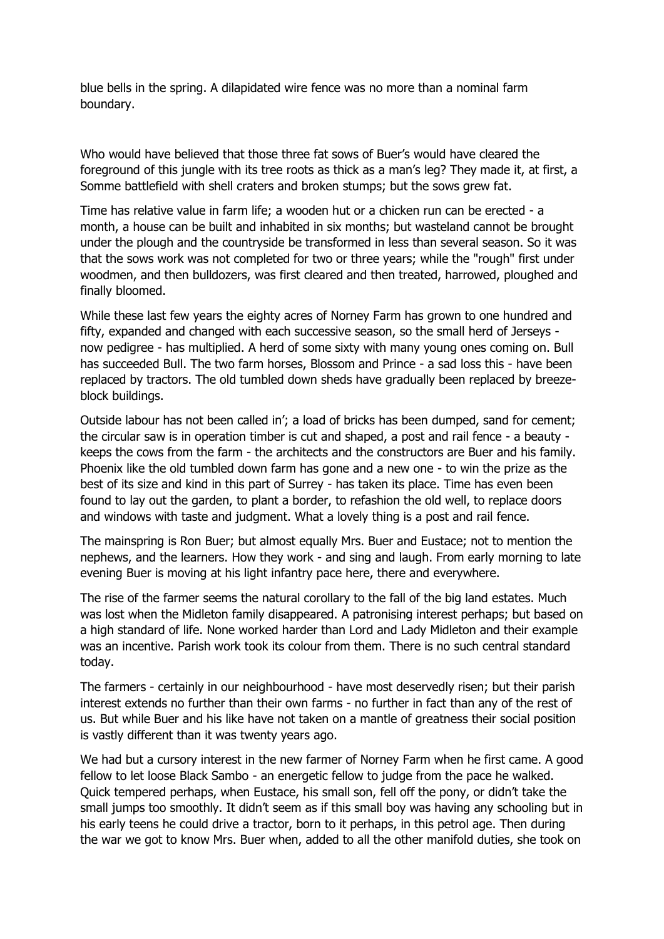blue bells in the spring. A dilapidated wire fence was no more than a nominal farm boundary.

Who would have believed that those three fat sows of Buer's would have cleared the foreground of this jungle with its tree roots as thick as a man's leg? They made it, at first, a Somme battlefield with shell craters and broken stumps; but the sows grew fat.

Time has relative value in farm life; a wooden hut or a chicken run can be erected - a month, a house can be built and inhabited in six months; but wasteland cannot be brought under the plough and the countryside be transformed in less than several season. So it was that the sows work was not completed for two or three years; while the "rough" first under woodmen, and then bulldozers, was first cleared and then treated, harrowed, ploughed and finally bloomed.

While these last few years the eighty acres of Norney Farm has grown to one hundred and fifty, expanded and changed with each successive season, so the small herd of Jerseys now pedigree - has multiplied. A herd of some sixty with many young ones coming on. Bull has succeeded Bull. The two farm horses, Blossom and Prince - a sad loss this - have been replaced by tractors. The old tumbled down sheds have gradually been replaced by breezeblock buildings.

Outside labour has not been called in'; a load of bricks has been dumped, sand for cement; the circular saw is in operation timber is cut and shaped, a post and rail fence - a beauty keeps the cows from the farm - the architects and the constructors are Buer and his family. Phoenix like the old tumbled down farm has gone and a new one - to win the prize as the best of its size and kind in this part of Surrey - has taken its place. Time has even been found to lay out the garden, to plant a border, to refashion the old well, to replace doors and windows with taste and judgment. What a lovely thing is a post and rail fence.

The mainspring is Ron Buer; but almost equally Mrs. Buer and Eustace; not to mention the nephews, and the learners. How they work - and sing and laugh. From early morning to late evening Buer is moving at his light infantry pace here, there and everywhere.

The rise of the farmer seems the natural corollary to the fall of the big land estates. Much was lost when the Midleton family disappeared. A patronising interest perhaps; but based on a high standard of life. None worked harder than Lord and Lady Midleton and their example was an incentive. Parish work took its colour from them. There is no such central standard today.

The farmers - certainly in our neighbourhood - have most deservedly risen; but their parish interest extends no further than their own farms - no further in fact than any of the rest of us. But while Buer and his like have not taken on a mantle of greatness their social position is vastly different than it was twenty years ago.

We had but a cursory interest in the new farmer of Norney Farm when he first came. A good fellow to let loose Black Sambo - an energetic fellow to judge from the pace he walked. Quick tempered perhaps, when Eustace, his small son, fell off the pony, or didn't take the small jumps too smoothly. It didn't seem as if this small boy was having any schooling but in his early teens he could drive a tractor, born to it perhaps, in this petrol age. Then during the war we got to know Mrs. Buer when, added to all the other manifold duties, she took on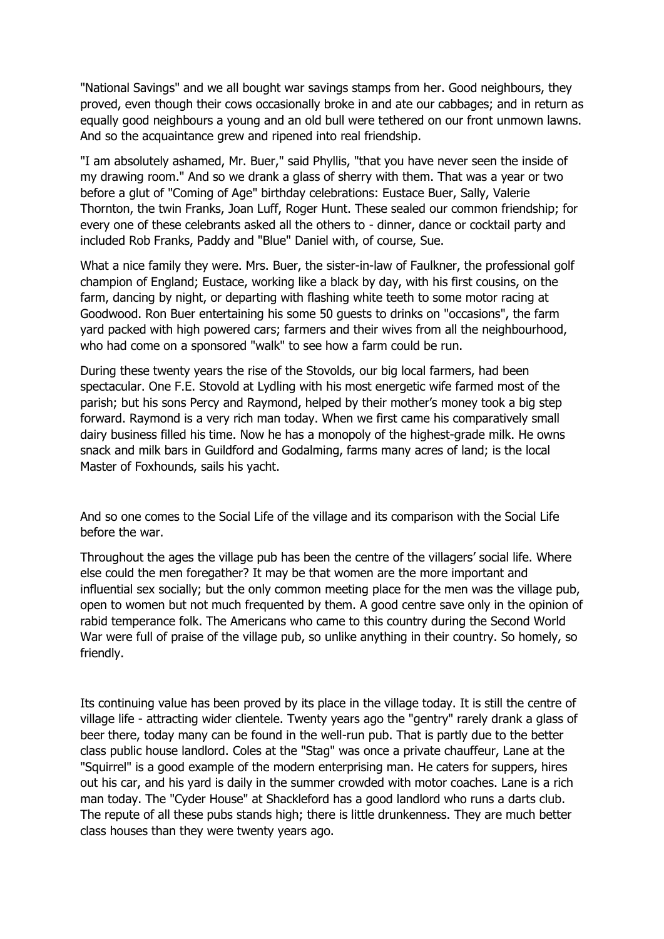"National Savings" and we all bought war savings stamps from her. Good neighbours, they proved, even though their cows occasionally broke in and ate our cabbages; and in return as equally good neighbours a young and an old bull were tethered on our front unmown lawns. And so the acquaintance grew and ripened into real friendship.

"I am absolutely ashamed, Mr. Buer," said Phyllis, "that you have never seen the inside of my drawing room." And so we drank a glass of sherry with them. That was a year or two before a glut of "Coming of Age" birthday celebrations: Eustace Buer, Sally, Valerie Thornton, the twin Franks, Joan Luff, Roger Hunt. These sealed our common friendship; for every one of these celebrants asked all the others to - dinner, dance or cocktail party and included Rob Franks, Paddy and "Blue" Daniel with, of course, Sue.

What a nice family they were. Mrs. Buer, the sister-in-law of Faulkner, the professional golf champion of England; Eustace, working like a black by day, with his first cousins, on the farm, dancing by night, or departing with flashing white teeth to some motor racing at Goodwood. Ron Buer entertaining his some 50 guests to drinks on "occasions", the farm yard packed with high powered cars; farmers and their wives from all the neighbourhood, who had come on a sponsored "walk" to see how a farm could be run.

During these twenty years the rise of the Stovolds, our big local farmers, had been spectacular. One F.E. Stovold at Lydling with his most energetic wife farmed most of the parish; but his sons Percy and Raymond, helped by their mother's money took a big step forward. Raymond is a very rich man today. When we first came his comparatively small dairy business filled his time. Now he has a monopoly of the highest-grade milk. He owns snack and milk bars in Guildford and Godalming, farms many acres of land; is the local Master of Foxhounds, sails his yacht.

And so one comes to the Social Life of the village and its comparison with the Social Life before the war.

Throughout the ages the village pub has been the centre of the villagers' social life. Where else could the men foregather? It may be that women are the more important and influential sex socially; but the only common meeting place for the men was the village pub, open to women but not much frequented by them. A good centre save only in the opinion of rabid temperance folk. The Americans who came to this country during the Second World War were full of praise of the village pub, so unlike anything in their country. So homely, so friendly.

Its continuing value has been proved by its place in the village today. It is still the centre of village life - attracting wider clientele. Twenty years ago the "gentry" rarely drank a glass of beer there, today many can be found in the well-run pub. That is partly due to the better class public house landlord. Coles at the "Stag" was once a private chauffeur, Lane at the "Squirrel" is a good example of the modern enterprising man. He caters for suppers, hires out his car, and his yard is daily in the summer crowded with motor coaches. Lane is a rich man today. The "Cyder House" at Shackleford has a good landlord who runs a darts club. The repute of all these pubs stands high; there is little drunkenness. They are much better class houses than they were twenty years ago.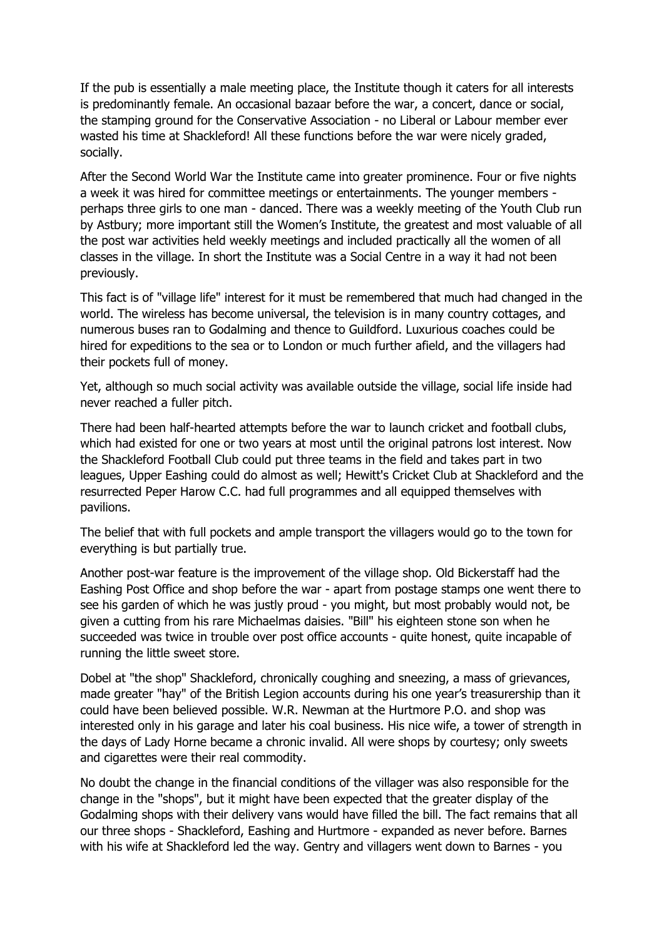If the pub is essentially a male meeting place, the Institute though it caters for all interests is predominantly female. An occasional bazaar before the war, a concert, dance or social, the stamping ground for the Conservative Association - no Liberal or Labour member ever wasted his time at Shackleford! All these functions before the war were nicely graded, socially.

After the Second World War the Institute came into greater prominence. Four or five nights a week it was hired for committee meetings or entertainments. The younger members perhaps three girls to one man - danced. There was a weekly meeting of the Youth Club run by Astbury; more important still the Women's Institute, the greatest and most valuable of all the post war activities held weekly meetings and included practically all the women of all classes in the village. In short the Institute was a Social Centre in a way it had not been previously.

This fact is of "village life" interest for it must be remembered that much had changed in the world. The wireless has become universal, the television is in many country cottages, and numerous buses ran to Godalming and thence to Guildford. Luxurious coaches could be hired for expeditions to the sea or to London or much further afield, and the villagers had their pockets full of money.

Yet, although so much social activity was available outside the village, social life inside had never reached a fuller pitch.

There had been half-hearted attempts before the war to launch cricket and football clubs, which had existed for one or two years at most until the original patrons lost interest. Now the Shackleford Football Club could put three teams in the field and takes part in two leagues, Upper Eashing could do almost as well; Hewitt's Cricket Club at Shackleford and the resurrected Peper Harow C.C. had full programmes and all equipped themselves with pavilions.

The belief that with full pockets and ample transport the villagers would go to the town for everything is but partially true.

Another post-war feature is the improvement of the village shop. Old Bickerstaff had the Eashing Post Office and shop before the war - apart from postage stamps one went there to see his garden of which he was justly proud - you might, but most probably would not, be given a cutting from his rare Michaelmas daisies. "Bill" his eighteen stone son when he succeeded was twice in trouble over post office accounts - quite honest, quite incapable of running the little sweet store.

Dobel at "the shop" Shackleford, chronically coughing and sneezing, a mass of grievances, made greater "hay" of the British Legion accounts during his one year's treasurership than it could have been believed possible. W.R. Newman at the Hurtmore P.O. and shop was interested only in his garage and later his coal business. His nice wife, a tower of strength in the days of Lady Horne became a chronic invalid. All were shops by courtesy; only sweets and cigarettes were their real commodity.

No doubt the change in the financial conditions of the villager was also responsible for the change in the "shops", but it might have been expected that the greater display of the Godalming shops with their delivery vans would have filled the bill. The fact remains that all our three shops - Shackleford, Eashing and Hurtmore - expanded as never before. Barnes with his wife at Shackleford led the way. Gentry and villagers went down to Barnes - you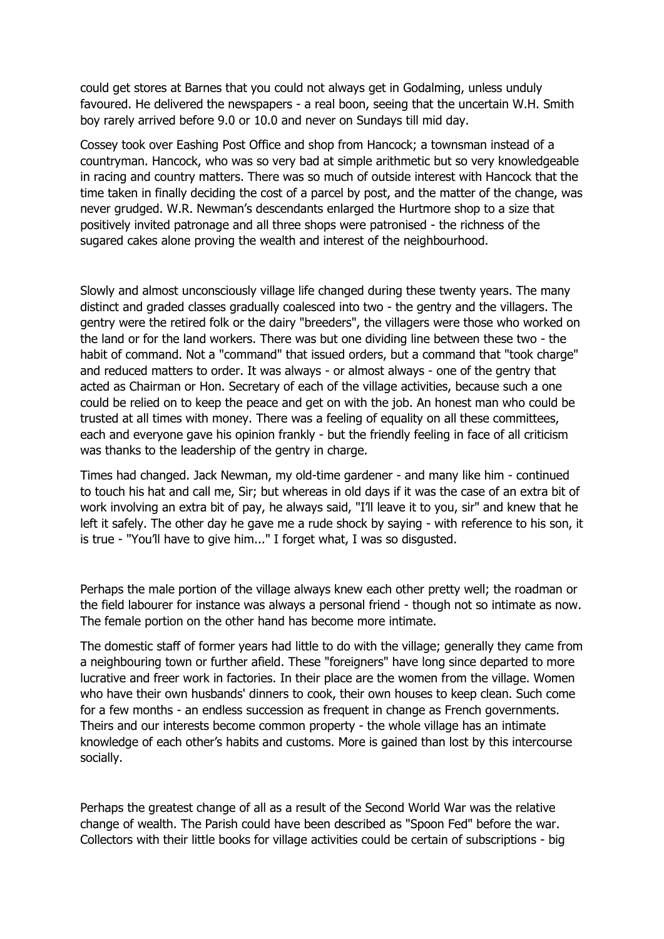could get stores at Barnes that you could not always get in Godalming, unless unduly favoured. He delivered the newspapers - a real boon, seeing that the uncertain W.H. Smith boy rarely arrived before 9.0 or 10.0 and never on Sundays till mid day.

Cossey took over Eashing Post Office and shop from Hancock; a townsman instead of a countryman. Hancock, who was so very bad at simple arithmetic but so very knowledgeable in racing and country matters. There was so much of outside interest with Hancock that the time taken in finally deciding the cost of a parcel by post, and the matter of the change, was never grudged. W.R. Newman's descendants enlarged the Hurtmore shop to a size that positively invited patronage and all three shops were patronised - the richness of the sugared cakes alone proving the wealth and interest of the neighbourhood.

Slowly and almost unconsciously village life changed during these twenty years. The many distinct and graded classes gradually coalesced into two - the gentry and the villagers. The gentry were the retired folk or the dairy "breeders", the villagers were those who worked on the land or for the land workers. There was but one dividing line between these two - the habit of command. Not a "command" that issued orders, but a command that "took charge" and reduced matters to order. It was always - or almost always - one of the gentry that acted as Chairman or Hon. Secretary of each of the village activities, because such a one could be relied on to keep the peace and get on with the job. An honest man who could be trusted at all times with money. There was a feeling of equality on all these committees, each and everyone gave his opinion frankly - but the friendly feeling in face of all criticism was thanks to the leadership of the gentry in charge.

Times had changed. Jack Newman, my old-time gardener - and many like him - continued to touch his hat and call me, Sir; but whereas in old days if it was the case of an extra bit of work involving an extra bit of pay, he always said, "I'll leave it to you, sir" and knew that he left it safely. The other day he gave me a rude shock by saying - with reference to his son, it is true - "You'll have to give him..." I forget what, I was so disgusted.

Perhaps the male portion of the village always knew each other pretty well; the roadman or the field labourer for instance was always a personal friend - though not so intimate as now. The female portion on the other hand has become more intimate.

The domestic staff of former years had little to do with the village; generally they came from a neighbouring town or further afield. These "foreigners" have long since departed to more lucrative and freer work in factories. In their place are the women from the village. Women who have their own husbands' dinners to cook, their own houses to keep clean. Such come for a few months - an endless succession as frequent in change as French governments. Theirs and our interests become common property - the whole village has an intimate knowledge of each other's habits and customs. More is gained than lost by this intercourse socially.

Perhaps the greatest change of all as a result of the Second World War was the relative change of wealth. The Parish could have been described as "Spoon Fed" before the war. Collectors with their little books for village activities could be certain of subscriptions - big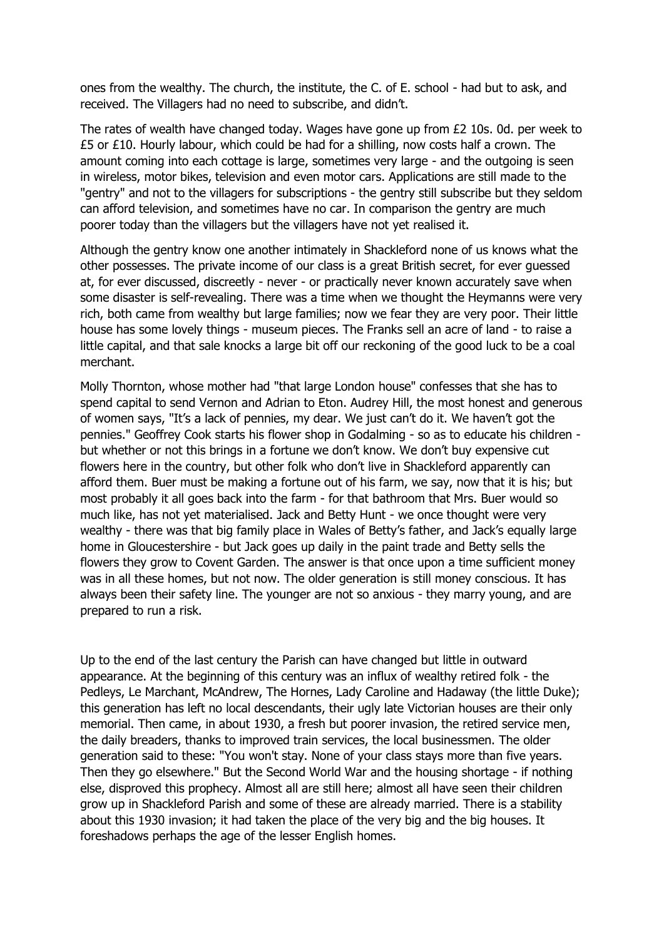ones from the wealthy. The church, the institute, the C. of E. school - had but to ask, and received. The Villagers had no need to subscribe, and didn't.

The rates of wealth have changed today. Wages have gone up from £2 10s. 0d. per week to  $£5$  or  $£10$ . Hourly labour, which could be had for a shilling, now costs half a crown. The amount coming into each cottage is large, sometimes very large - and the outgoing is seen in wireless, motor bikes, television and even motor cars. Applications are still made to the "gentry" and not to the villagers for subscriptions - the gentry still subscribe but they seldom can afford television, and sometimes have no car. In comparison the gentry are much poorer today than the villagers but the villagers have not yet realised it.

Although the gentry know one another intimately in Shackleford none of us knows what the other possesses. The private income of our class is a great British secret, for ever guessed at, for ever discussed, discreetly - never - or practically never known accurately save when some disaster is self-revealing. There was a time when we thought the Heymanns were very rich, both came from wealthy but large families; now we fear they are very poor. Their little house has some lovely things - museum pieces. The Franks sell an acre of land - to raise a little capital, and that sale knocks a large bit off our reckoning of the good luck to be a coal merchant.

Molly Thornton, whose mother had "that large London house" confesses that she has to spend capital to send Vernon and Adrian to Eton. Audrey Hill, the most honest and generous of women says, "It's a lack of pennies, my dear. We just can't do it. We haven't got the pennies." Geoffrey Cook starts his flower shop in Godalming - so as to educate his children but whether or not this brings in a fortune we don't know. We don't buy expensive cut flowers here in the country, but other folk who don't live in Shackleford apparently can afford them. Buer must be making a fortune out of his farm, we say, now that it is his; but most probably it all goes back into the farm - for that bathroom that Mrs. Buer would so much like, has not yet materialised. Jack and Betty Hunt - we once thought were very wealthy - there was that big family place in Wales of Betty's father, and Jack's equally large home in Gloucestershire - but Jack goes up daily in the paint trade and Betty sells the flowers they grow to Covent Garden. The answer is that once upon a time sufficient money was in all these homes, but not now. The older generation is still money conscious. It has always been their safety line. The younger are not so anxious - they marry young, and are prepared to run a risk.

Up to the end of the last century the Parish can have changed but little in outward appearance. At the beginning of this century was an influx of wealthy retired folk - the Pedleys, Le Marchant, McAndrew, The Hornes, Lady Caroline and Hadaway (the little Duke); this generation has left no local descendants, their ugly late Victorian houses are their only memorial. Then came, in about 1930, a fresh but poorer invasion, the retired service men, the daily breaders, thanks to improved train services, the local businessmen. The older generation said to these: "You won't stay. None of your class stays more than five years. Then they go elsewhere." But the Second World War and the housing shortage - if nothing else, disproved this prophecy. Almost all are still here; almost all have seen their children grow up in Shackleford Parish and some of these are already married. There is a stability about this 1930 invasion; it had taken the place of the very big and the big houses. It foreshadows perhaps the age of the lesser English homes.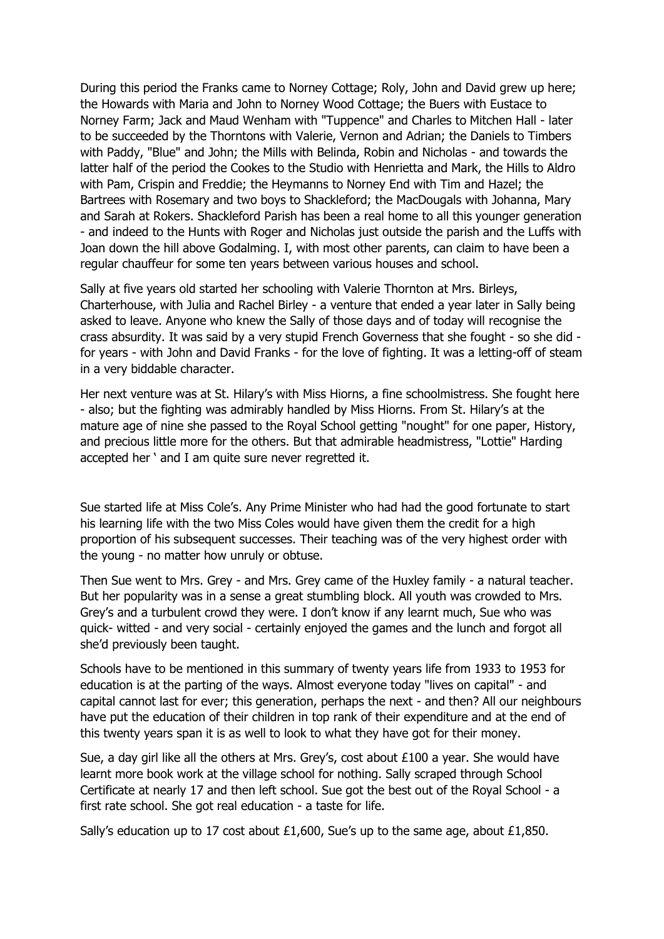During this period the Franks came to Norney Cottage; Roly, John and David grew up here; the Howards with Maria and John to Norney Wood Cottage; the Buers with Eustace to Norney Farm; Jack and Maud Wenham with "Tuppence" and Charles to Mitchen Hall - later to be succeeded by the Thorntons with Valerie, Vernon and Adrian; the Daniels to Timbers with Paddy, "Blue" and John; the Mills with Belinda, Robin and Nicholas - and towards the latter half of the period the Cookes to the Studio with Henrietta and Mark, the Hills to Aldro with Pam, Crispin and Freddie; the Heymanns to Norney End with Tim and Hazel; the Bartrees with Rosemary and two boys to Shackleford; the MacDougals with Johanna, Mary and Sarah at Rokers. Shackleford Parish has been a real home to all this younger generation - and indeed to the Hunts with Roger and Nicholas just outside the parish and the Luffs with Joan down the hill above Godalming. I, with most other parents, can claim to have been a regular chauffeur for some ten years between various houses and school.

Sally at five years old started her schooling with Valerie Thornton at Mrs. Birleys, Charterhouse, with Julia and Rachel Birley - a venture that ended a year later in Sally being asked to leave. Anyone who knew the Sally of those days and of today will recognise the crass absurdity. It was said by a very stupid French Governess that she fought - so she did for years - with John and David Franks - for the love of fighting. It was a letting-off of steam in a very biddable character.

Her next venture was at St. Hilary's with Miss Hiorns, a fine schoolmistress. She fought here - also; but the fighting was admirably handled by Miss Hiorns. From St. Hilary's at the mature age of nine she passed to the Royal School getting "nought" for one paper, History, and precious little more for the others. But that admirable headmistress, "Lottie" Harding accepted her ' and I am quite sure never regretted it.

Sue started life at Miss Cole's. Any Prime Minister who had had the good fortunate to start his learning life with the two Miss Coles would have given them the credit for a high proportion of his subsequent successes. Their teaching was of the very highest order with the young - no matter how unruly or obtuse.

Then Sue went to Mrs. Grey - and Mrs. Grey came of the Huxley family - a natural teacher. But her popularity was in a sense a great stumbling block. All youth was crowded to Mrs. Grey's and a turbulent crowd they were. I don't know if any learnt much, Sue who was quick- witted - and very social - certainly enjoyed the games and the lunch and forgot all she'd previously been taught.

Schools have to be mentioned in this summary of twenty years life from 1933 to 1953 for education is at the parting of the ways. Almost everyone today "lives on capital" - and capital cannot last for ever; this generation, perhaps the next - and then? All our neighbours have put the education of their children in top rank of their expenditure and at the end of this twenty years span it is as well to look to what they have got for their money.

Sue, a day girl like all the others at Mrs. Grey's, cost about £100 a year. She would have learnt more book work at the village school for nothing. Sally scraped through School Certificate at nearly 17 and then left school. Sue got the best out of the Royal School - a first rate school. She got real education - a taste for life.

Sally's education up to 17 cost about £1,600, Sue's up to the same age, about £1,850.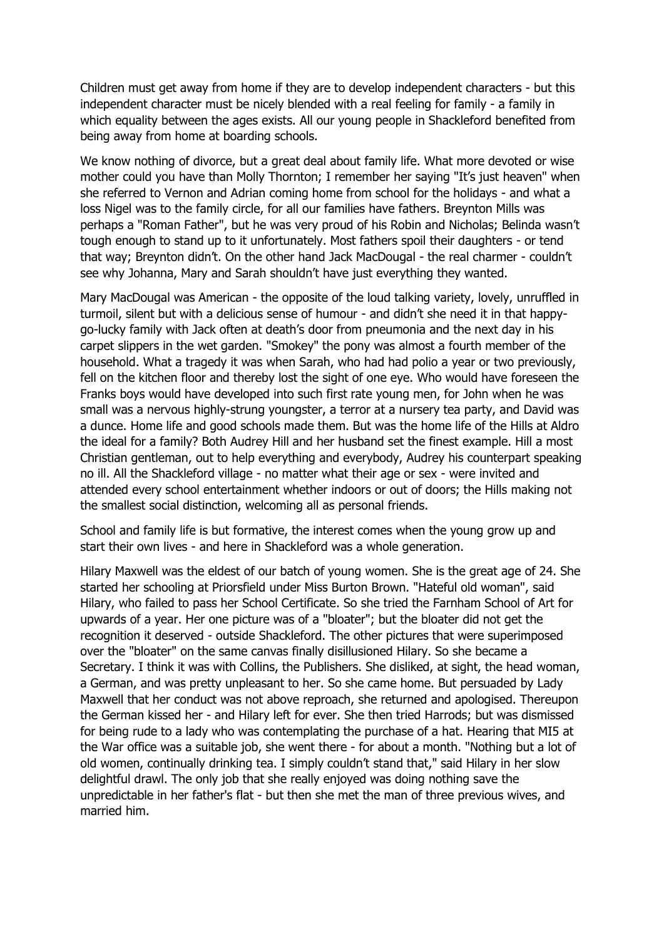Children must get away from home if they are to develop independent characters - but this independent character must be nicely blended with a real feeling for family - a family in which equality between the ages exists. All our young people in Shackleford benefited from being away from home at boarding schools.

We know nothing of divorce, but a great deal about family life. What more devoted or wise mother could you have than Molly Thornton; I remember her saying "It's just heaven" when she referred to Vernon and Adrian coming home from school for the holidays - and what a loss Nigel was to the family circle, for all our families have fathers. Breynton Mills was perhaps a "Roman Father", but he was very proud of his Robin and Nicholas; Belinda wasn't tough enough to stand up to it unfortunately. Most fathers spoil their daughters - or tend that way; Breynton didn't. On the other hand Jack MacDougal - the real charmer - couldn't see why Johanna, Mary and Sarah shouldn't have just everything they wanted.

Mary MacDougal was American - the opposite of the loud talking variety, lovely, unruffled in turmoil, silent but with a delicious sense of humour - and didn't she need it in that happygo-lucky family with Jack often at death's door from pneumonia and the next day in his carpet slippers in the wet garden. "Smokey" the pony was almost a fourth member of the household. What a tragedy it was when Sarah, who had had polio a year or two previously, fell on the kitchen floor and thereby lost the sight of one eye. Who would have foreseen the Franks boys would have developed into such first rate young men, for John when he was small was a nervous highly-strung youngster, a terror at a nursery tea party, and David was a dunce. Home life and good schools made them. But was the home life of the Hills at Aldro the ideal for a family? Both Audrey Hill and her husband set the finest example. Hill a most Christian gentleman, out to help everything and everybody, Audrey his counterpart speaking no ill. All the Shackleford village - no matter what their age or sex - were invited and attended every school entertainment whether indoors or out of doors; the Hills making not the smallest social distinction, welcoming all as personal friends.

School and family life is but formative, the interest comes when the young grow up and start their own lives - and here in Shackleford was a whole generation.

Hilary Maxwell was the eldest of our batch of young women. She is the great age of 24. She started her schooling at Priorsfield under Miss Burton Brown. "Hateful old woman", said Hilary, who failed to pass her School Certificate. So she tried the Farnham School of Art for upwards of a year. Her one picture was of a "bloater"; but the bloater did not get the recognition it deserved - outside Shackleford. The other pictures that were superimposed over the "bloater" on the same canvas finally disillusioned Hilary. So she became a Secretary. I think it was with Collins, the Publishers. She disliked, at sight, the head woman, a German, and was pretty unpleasant to her. So she came home. But persuaded by Lady Maxwell that her conduct was not above reproach, she returned and apologised. Thereupon the German kissed her - and Hilary left for ever. She then tried Harrods; but was dismissed for being rude to a lady who was contemplating the purchase of a hat. Hearing that MI5 at the War office was a suitable job, she went there - for about a month. "Nothing but a lot of old women, continually drinking tea. I simply couldn't stand that," said Hilary in her slow delightful drawl. The only job that she really enjoyed was doing nothing save the unpredictable in her father's flat - but then she met the man of three previous wives, and married him.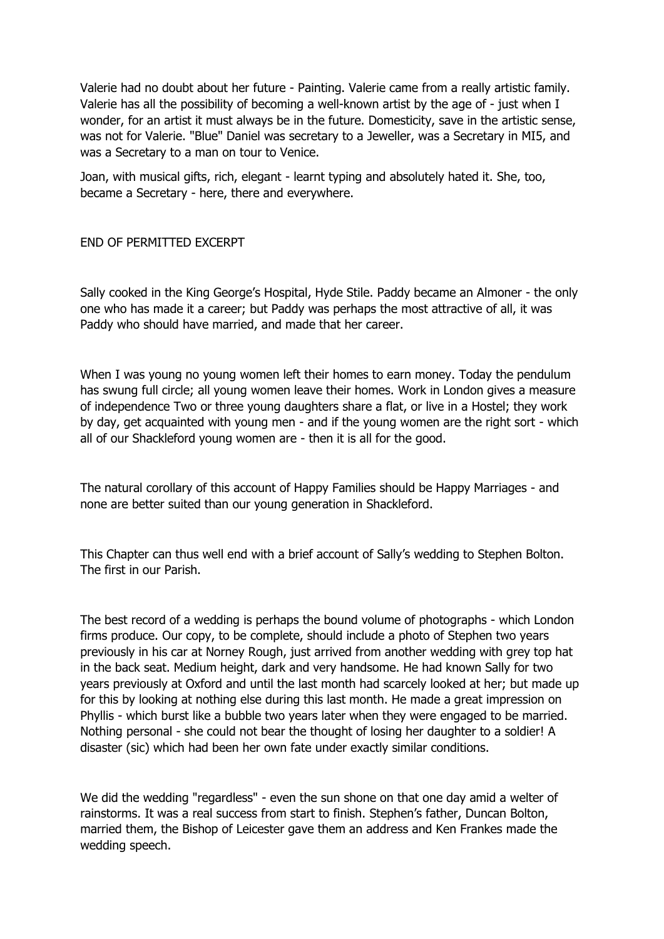Valerie had no doubt about her future - Painting. Valerie came from a really artistic family. Valerie has all the possibility of becoming a well-known artist by the age of - just when I wonder, for an artist it must always be in the future. Domesticity, save in the artistic sense, was not for Valerie. "Blue" Daniel was secretary to a Jeweller, was a Secretary in MI5, and was a Secretary to a man on tour to Venice.

Joan, with musical gifts, rich, elegant - learnt typing and absolutely hated it. She, too, became a Secretary - here, there and everywhere.

## END OF PERMITTED EXCERPT

Sally cooked in the King George's Hospital, Hyde Stile. Paddy became an Almoner - the only one who has made it a career; but Paddy was perhaps the most attractive of all, it was Paddy who should have married, and made that her career.

When I was young no young women left their homes to earn money. Today the pendulum has swung full circle; all young women leave their homes. Work in London gives a measure of independence Two or three young daughters share a flat, or live in a Hostel; they work by day, get acquainted with young men - and if the young women are the right sort - which all of our Shackleford young women are - then it is all for the good.

The natural corollary of this account of Happy Families should be Happy Marriages - and none are better suited than our young generation in Shackleford.

This Chapter can thus well end with a brief account of Sally's wedding to Stephen Bolton. The first in our Parish.

The best record of a wedding is perhaps the bound volume of photographs - which London firms produce. Our copy, to be complete, should include a photo of Stephen two years previously in his car at Norney Rough, just arrived from another wedding with grey top hat in the back seat. Medium height, dark and very handsome. He had known Sally for two years previously at Oxford and until the last month had scarcely looked at her; but made up for this by looking at nothing else during this last month. He made a great impression on Phyllis - which burst like a bubble two years later when they were engaged to be married. Nothing personal - she could not bear the thought of losing her daughter to a soldier! A disaster (sic) which had been her own fate under exactly similar conditions.

We did the wedding "regardless" - even the sun shone on that one day amid a welter of rainstorms. It was a real success from start to finish. Stephen's father, Duncan Bolton, married them, the Bishop of Leicester gave them an address and Ken Frankes made the wedding speech.